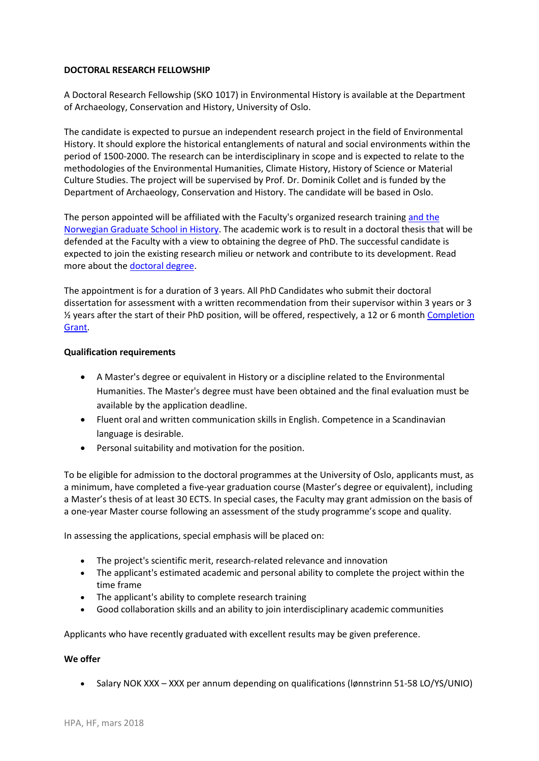# **DOCTORAL RESEARCH FELLOWSHIP**

A Doctoral Research Fellowship (SKO 1017) in Environmental History is available at the Department o[f Archaeology, Conservation and History,](https://www.uio.no/for-ansatte/enhetssider/hf/iakh/) University of Oslo.

The candidate is expected to pursue an independent research project in the field of Environmental History. It should explore the historical entanglements of natural and social environments within the period of 1500-2000. The research can be interdisciplinary in scope and is expected to relate to the methodologies of the Environmental Humanities, Climate History, History of Science or Material Culture Studies. The project will be supervised by Prof. Dr. Dominik Collet and is funded by the Department of Archaeology, Conservation and History. The candidate will be based in Oslo.

The person appointed will be affiliated with the Faculty's organized research training [and the](https://www.hf.uio.no/iakh/english/research/the-norwegian-graduate-school-in-history/)  [Norwegian Graduate School in History.](https://www.hf.uio.no/iakh/english/research/the-norwegian-graduate-school-in-history/) The academic work is to result in a doctoral thesis that will be defended at the Faculty with a view to obtaining the degree of PhD. The successful candidate is expected to join the existing research milieu or network and contribute to its development. Read more about the [doctoral degree.](http://www.hf.uio.no/english/research/doctoral-degree-and-career/)

The appointment is for a duration of 3 years. All PhD Candidates who submit their doctoral dissertation for assessment with a written recommendation from their supervisor within 3 years or 3 ½ years after the start of their PhD position, will be offered, respectively, a 12 or 6 month [Completion](http://www.uio.no/for-ansatte/arbeidsstotte/fa/utdanning/hf/stipendiater/gjennomfoeringsstipend/completiongrant.html)  [Grant.](http://www.uio.no/for-ansatte/arbeidsstotte/fa/utdanning/hf/stipendiater/gjennomfoeringsstipend/completiongrant.html)

## **Qualification requirements**

- A Master's degree or equivalent in History or a discipline related to the Environmental Humanities. The Master's degree must have been obtained and the final evaluation must be available by the application deadline.
- Fluent oral and written communication skills in English. Competence in a Scandinavian language is desirable.
- Personal suitability and motivation for the position.

To be eligible for admission to the doctoral programmes at the University of Oslo, applicants must, as a minimum, have completed a five-year graduation course (Master's degree or equivalent), including a Master's thesis of at least 30 ECTS. In special cases, the Faculty may grant admission on the basis of a one-year Master course following an assessment of the study programme's scope and quality.

In assessing the applications, special emphasis will be placed on:

- The project's scientific merit, research-related relevance and innovation
- The applicant's estimated academic and personal ability to complete the project within the time frame
- The applicant's ability to complete research training
- Good collaboration skills and an ability to join interdisciplinary academic communities

Applicants who have recently graduated with excellent results may be given preference.

### **We offer**

Salary NOK XXX – XXX per annum depending on qualifications (lønnstrinn 51-58 LO/YS/UNIO)